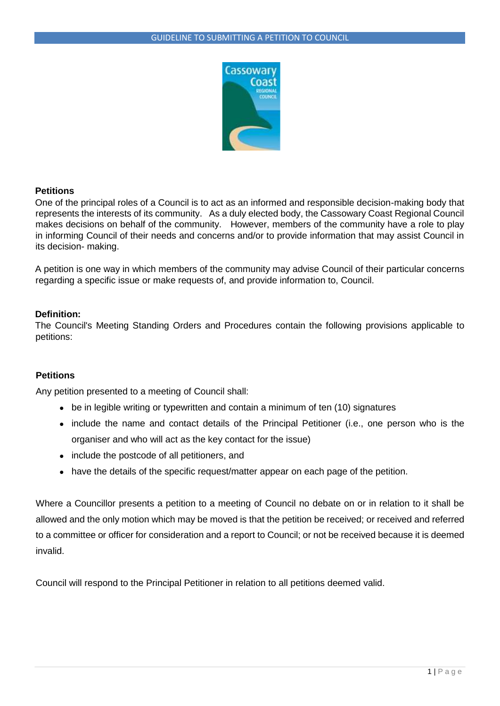

### **Petitions**

One of the principal roles of a Council is to act as an informed and responsible decision-making body that represents the interests of its community. As a duly elected body, the Cassowary Coast Regional Council makes decisions on behalf of the community. However, members of the community have a role to play in informing Council of their needs and concerns and/or to provide information that may assist Council in its decision- making.

A petition is one way in which members of the community may advise Council of their particular concerns regarding a specific issue or make requests of, and provide information to, Council.

### **Definition:**

The Council's Meeting Standing Orders and Procedures contain the following provisions applicable to petitions:

## **Petitions**

Any petition presented to a meeting of Council shall:

- be in legible writing or typewritten and contain a minimum of ten (10) signatures
- include the name and contact details of the Principal Petitioner (i.e., one person who is the organiser and who will act as the key contact for the issue)
- include the postcode of all petitioners, and
- have the details of the specific request/matter appear on each page of the petition.

Where a Councillor presents a petition to a meeting of Council no debate on or in relation to it shall be allowed and the only motion which may be moved is that the petition be received; or received and referred to a committee or officer for consideration and a report to Council; or not be received because it is deemed invalid.

Council will respond to the Principal Petitioner in relation to all petitions deemed valid.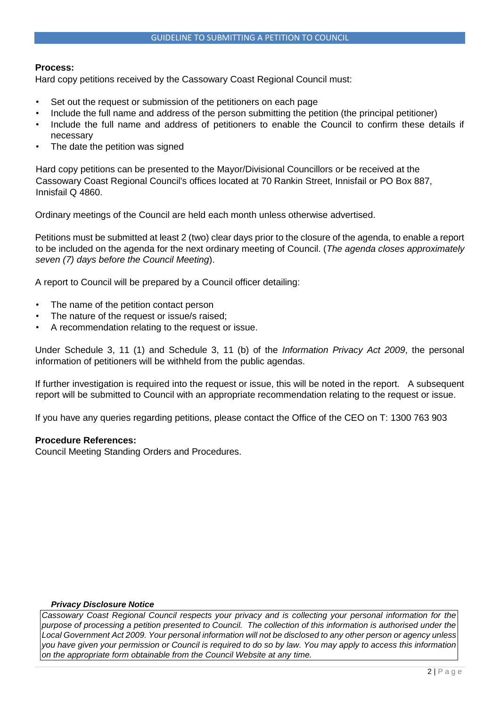### **Process:**

Hard copy petitions received by the Cassowary Coast Regional Council must:

- Set out the request or submission of the petitioners on each page
- Include the full name and address of the person submitting the petition (the principal petitioner)
- Include the full name and address of petitioners to enable the Council to confirm these details if necessary
- The date the petition was signed

Hard copy petitions can be presented to the Mayor/Divisional Councillors or be received at the Cassowary Coast Regional Council's offices located at 70 Rankin Street, Innisfail or PO Box 887, Innisfail Q 4860.

Ordinary meetings of the Council are held each month unless otherwise advertised.

Petitions must be submitted at least 2 (two) clear days prior to the closure of the agenda, to enable a report to be included on the agenda for the next ordinary meeting of Council. (*The agenda closes approximately seven (7) days before the Council Meeting*).

A report to Council will be prepared by a Council officer detailing:

- The name of the petition contact person
- The nature of the request or issue/s raised;
- A recommendation relating to the request or issue.

Under Schedule 3, 11 (1) and Schedule 3, 11 (b) of the *Information Privacy Act 2009*, the personal information of petitioners will be withheld from the public agendas.

If further investigation is required into the request or issue, this will be noted in the report. A subsequent report will be submitted to Council with an appropriate recommendation relating to the request or issue.

If you have any queries regarding petitions, please contact the Office of the CEO on T: 1300 763 903

#### **Procedure References:**

Council Meeting Standing Orders and Procedures.

#### *Privacy Disclosure Notice*

*Cassowary Coast Regional Council respects your privacy and is collecting your personal information for the purpose of processing a petition presented to Council. The collection of this information is authorised under the Local Government Act 2009. Your personal information will not be disclosed to any other person or agency unless you have given your permission or Council is required to do so by law. You may apply to access this information on the appropriate form obtainable from the Council Website at any time.*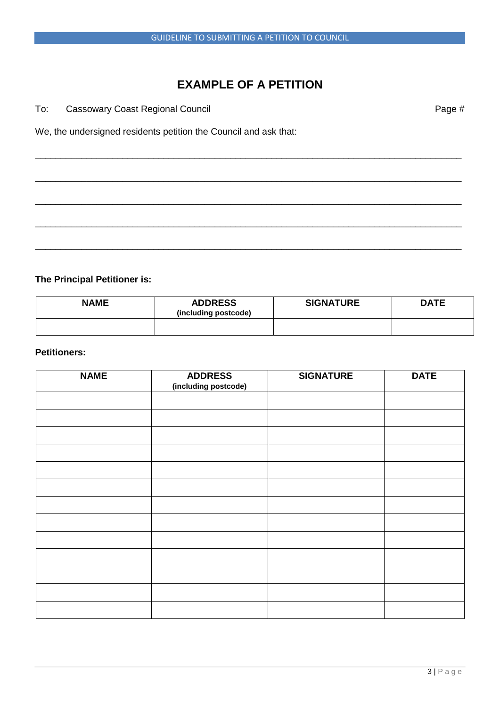# **EXAMPLE OF A PETITION**

\_\_\_\_\_\_\_\_\_\_\_\_\_\_\_\_\_\_\_\_\_\_\_\_\_\_\_\_\_\_\_\_\_\_\_\_\_\_\_\_\_\_\_\_\_\_\_\_\_\_\_\_\_\_\_\_\_\_\_\_\_\_\_\_\_\_\_\_\_\_\_\_\_\_\_\_\_\_\_\_\_\_\_

\_\_\_\_\_\_\_\_\_\_\_\_\_\_\_\_\_\_\_\_\_\_\_\_\_\_\_\_\_\_\_\_\_\_\_\_\_\_\_\_\_\_\_\_\_\_\_\_\_\_\_\_\_\_\_\_\_\_\_\_\_\_\_\_\_\_\_\_\_\_\_\_\_\_\_\_\_\_\_\_\_\_\_

\_\_\_\_\_\_\_\_\_\_\_\_\_\_\_\_\_\_\_\_\_\_\_\_\_\_\_\_\_\_\_\_\_\_\_\_\_\_\_\_\_\_\_\_\_\_\_\_\_\_\_\_\_\_\_\_\_\_\_\_\_\_\_\_\_\_\_\_\_\_\_\_\_\_\_\_\_\_\_\_\_\_\_

\_\_\_\_\_\_\_\_\_\_\_\_\_\_\_\_\_\_\_\_\_\_\_\_\_\_\_\_\_\_\_\_\_\_\_\_\_\_\_\_\_\_\_\_\_\_\_\_\_\_\_\_\_\_\_\_\_\_\_\_\_\_\_\_\_\_\_\_\_\_\_\_\_\_\_\_\_\_\_\_\_\_\_

\_\_\_\_\_\_\_\_\_\_\_\_\_\_\_\_\_\_\_\_\_\_\_\_\_\_\_\_\_\_\_\_\_\_\_\_\_\_\_\_\_\_\_\_\_\_\_\_\_\_\_\_\_\_\_\_\_\_\_\_\_\_\_\_\_\_\_\_\_\_\_\_\_\_\_\_\_\_\_\_\_\_\_

To: Cassowary Coast Regional Council **Page #** Page #

We, the undersigned residents petition the Council and ask that:

# **The Principal Petitioner is:**

| <b>NAME</b> | <b>ADDRESS</b><br>(including postcode) | <b>SIGNATURE</b> | <b>DATE</b> |
|-------------|----------------------------------------|------------------|-------------|
|             |                                        |                  |             |

## **Petitioners:**

| <b>NAME</b> | <b>ADDRESS</b>       | <b>SIGNATURE</b> | <b>DATE</b> |
|-------------|----------------------|------------------|-------------|
|             | (including postcode) |                  |             |
|             |                      |                  |             |
|             |                      |                  |             |
|             |                      |                  |             |
|             |                      |                  |             |
|             |                      |                  |             |
|             |                      |                  |             |
|             |                      |                  |             |
|             |                      |                  |             |
|             |                      |                  |             |
|             |                      |                  |             |
|             |                      |                  |             |
|             |                      |                  |             |
|             |                      |                  |             |